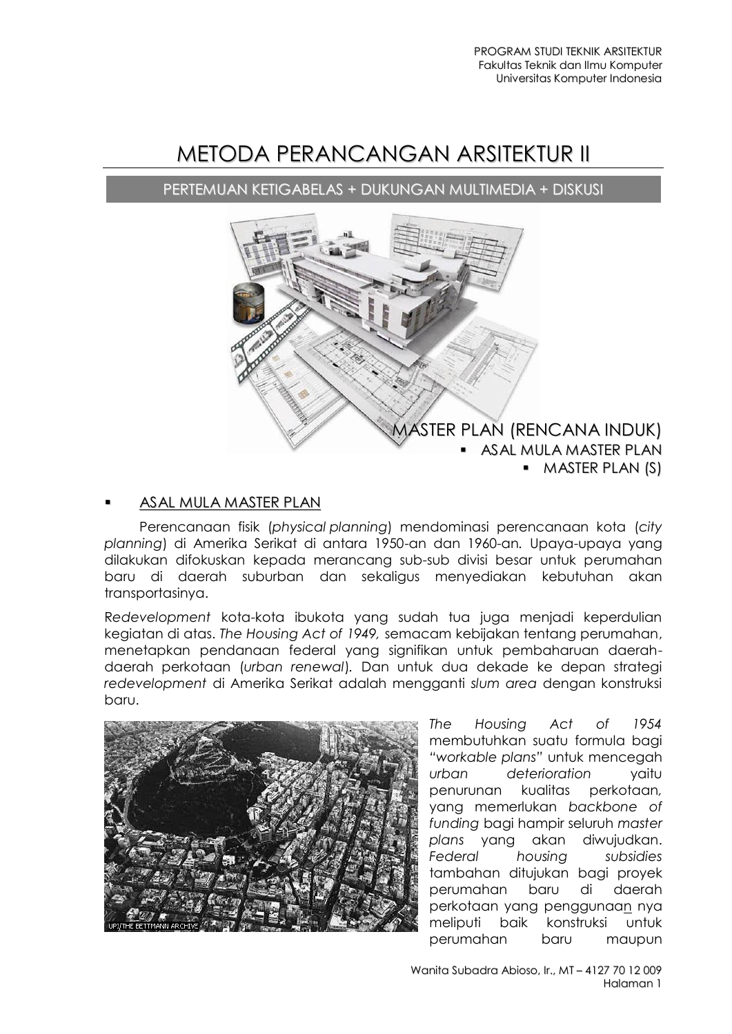# METODA PERANCANGAN ARSITEKTUR II

PERTEMUAN KETIGABELAS + DUKUNGAN MULTIMEDIA + DISKUSI



## ASAL MULA MASTER PLAN

Perencanaan fisik (*physical planning*) mendominasi perencanaan kota (*city planning*) di Amerika Serikat di antara 1950-an dan 1960-an*.* Upaya-upaya yang dilakukan difokuskan kepada merancang sub-sub divisi besar untuk perumahan baru di daerah suburban dan sekaligus menyediakan kebutuhan akan transportasinya.

R*edevelopment* kota-kota ibukota yang sudah tua juga menjadi keperdulian kegiatan di atas. *The Housing Act of 1949,* semacam kebijakan tentang perumahan, menetapkan pendanaan federal yang signifikan untuk pembaharuan daerahdaerah perkotaan (*urban renewal*)*.* Dan untuk dua dekade ke depan strategi *redevelopment* di Amerika Serikat adalah mengganti *slum area* dengan konstruksi baru.



*The Housing Act of 1954*  membutuhkan suatu formula bagi *"workable plans"* untuk mencegah *urban deterioration* yaitu penurunan kualitas perkotaan*,*  yang memerlukan *backbone of funding* bagi hampir seluruh *master plans* yang akan diwujudkan. *Federal housing subsidies*  tambahan ditujukan bagi proyek perumahan baru di daerah perkotaan yang penggunaan nya meliputi baik konstruksi untuk perumahan baru maupun

Wanita Subadra Abioso, Ir., MT – 4127 70 12 009 Halaman 1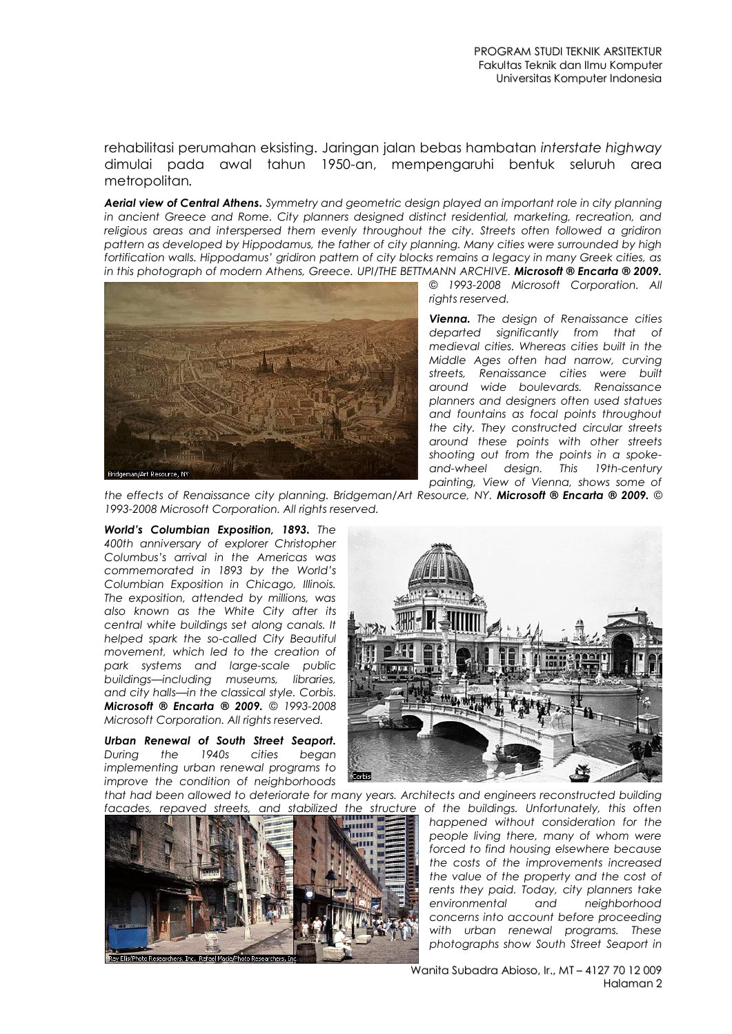rehabilitasi perumahan eksisting. Jaringan jalan bebas hambatan *interstate highway*  dimulai pada awal tahun 1950-an, mempengaruhi bentuk seluruh area metropolitan*.* 

*Aerial view of Central Athens. Symmetry and geometric design played an important role in city planning in ancient Greece and Rome. City planners designed distinct residential, marketing, recreation, and religious areas and interspersed them evenly throughout the city. Streets often followed a gridiron pattern as developed by Hippodamus, the father of city planning. Many cities were surrounded by high fortification walls. Hippodamus' gridiron pattern of city blocks remains a legacy in many Greek cities, as in this photograph of modern Athens, Greece. UPI/THE BETTMANN ARCHIVE. Microsoft ® Encarta ® 2009.*



*© 1993-2008 Microsoft Corporation. All rights reserved.*

*Vienna. The design of Renaissance cities departed significantly from that of medieval cities. Whereas cities built in the Middle Ages often had narrow, curving streets, Renaissance cities were built around wide boulevards. Renaissance planners and designers often used statues and fountains as focal points throughout the city. They constructed circular streets around these points with other streets shooting out from the points in a spokeand-wheel design. This 19th-century painting, View of Vienna, shows some of* 

*the effects of Renaissance city planning. Bridgeman/Art Resource, NY. Microsoft ® Encarta ® 2009. © 1993-2008 Microsoft Corporation. All rights reserved.*

*World's Columbian Exposition, 1893. The 400th anniversary of explorer Christopher Columbus's arrival in the Americas was commemorated in 1893 by the World's Columbian Exposition in Chicago, Illinois. The exposition, attended by millions, was also known as the White City after its central white buildings set along canals. It helped spark the so-called City Beautiful movement, which led to the creation of park systems and large-scale public buildings—including museums, libraries, and city halls—in the classical style. Corbis. Microsoft ® Encarta ® 2009. © 1993-2008 Microsoft Corporation. All rights reserved.*

*Urban Renewal of South Street Seaport. During the 1940s cities began implementing urban renewal programs to improve the condition of neighborhoods* 



*that had been allowed to deteriorate for many years. Architects and engineers reconstructed building* 



facades, repaved streets, and stabilized the structure of the buildings. Unfortunately, this often *happened without consideration for the people living there, many of whom were forced to find housing elsewhere because the costs of the improvements increased the value of the property and the cost of rents they paid. Today, city planners take environmental and neighborhood concerns into account before proceeding with urban renewal programs. These photographs show South Street Seaport in* 

> Wanita Subadra Abioso, Ir., MT – 4127 70 12 009 Halaman 2